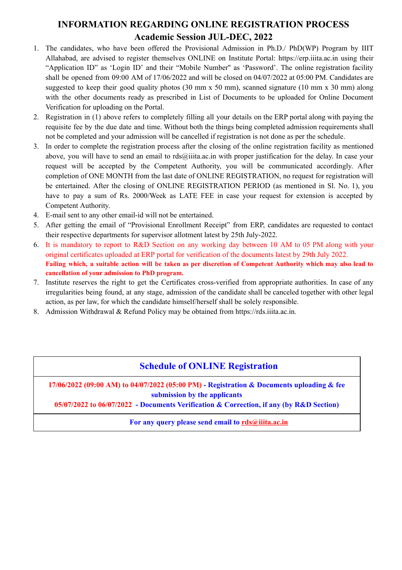## **INFORMATION REGARDING ONLINE REGISTRATION PROCESS Academic Session JUL-DEC, 2022**

- 1. The candidates, who have been offered the Provisional Admission in Ph.D./ PhD(WP) Program by IIIT Allahabad, are advised to register themselves ONLINE on Institute Portal: https://erp.iiita.ac.in using their "Application ID" as 'Login ID' and their "Mobile Number'' as 'Password'. The online registration facility shall be opened from 09:00 AM of 17/06/2022 and will be closed on 04/07/2022 at 05:00 PM. Candidates are suggested to keep their good quality photos (30 mm x 50 mm), scanned signature (10 mm x 30 mm) along with the other documents ready as prescribed in List of Documents to be uploaded for Online Document Verification for uploading on the Portal.
- 2. Registration in (1) above refers to completely filling all your details on the ERP portal along with paying the requisite fee by the due date and time. Without both the things being completed admission requirements shall not be completed and your admission will be cancelled if registration is not done as per the schedule.
- 3. In order to complete the registration process after the closing of the online registration facility as mentioned above, you will have to send an email to rds@iiita.ac.in with proper justification for the delay. In case your request will be accepted by the Competent Authority, you will be communicated accordingly. After completion of ONE MONTH from the last date of ONLINE REGISTRATION, no request for registration will be entertained. After the closing of ONLINE REGISTRATION PERIOD (as mentioned in Sl. No. 1), you have to pay a sum of Rs. 2000/Week as LATE FEE in case your request for extension is accepted by Competent Authority.
- 4. E-mail sent to any other email-id will not be entertained.
- 5. After getting the email of "Provisional Enrollment Receipt" from ERP, candidates are requested to contact their respective departments for supervisor allotment latest by 25th July-2022.
- 6. It is mandatory to report to R&D Section on any working day between 10 AM to 05 PM along with your original certificates uploaded at ERP portal for verification of the documents latest by 29th July 2022. Failing which, a suitable action will be taken as per discretion of Competent Authority which may also lead to **cancellation of your admission to PhD program.**
- 7. Institute reserves the right to get the Certificates cross-verified from appropriate authorities. In case of any irregularities being found, at any stage, admission of the candidate shall be canceled together with other legal action, as per law, for which the candidate himself/herself shall be solely responsible.
- 8. Admission Withdrawal & Refund Policy may be obtained from https://rds.iiita.ac.in.

#### **Schedule of ONLINE Registration**

**17/06/2022 (09:00 AM) to 04/07/2022 (05:00 PM) - Registration & Documents uploading & fee submission by the applicants**

**05/07/2022 to 06/07/2022 - Documents Verification & Correction, if any (by R&D Section)**

**For any query please send email to [rds@iiita.ac.in](mailto:rdcell@iiita.ac.in)**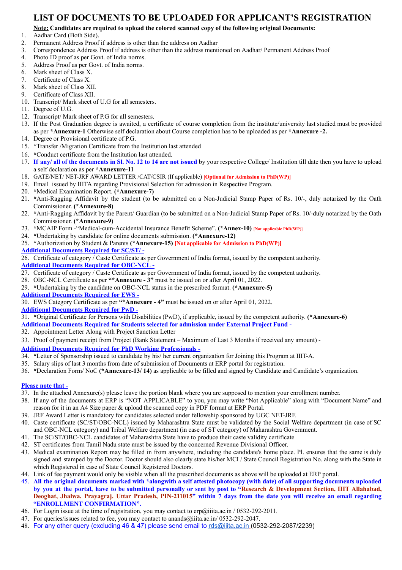#### **LIST OF DOCUMENTS TO BE UPLOADED FOR APPLICANT'S REGISTRATION**

#### **Note: Candidates are required to upload the colored scanned copy of the following original Documents:**

- 1. Aadhar Card (Both Side).
- 2. Permanent Address Proof if address is other than the address on Aadhar
- 3. Correspondence Address Proof if address is other than the address mentioned on Aadhar/ Permanent Address Proof
- 4. Photo ID proof as per Govt. of India norms.
- 5. Address Proof as per Govt. of India norms.
- 6. Mark sheet of Class X.
- 7. Certificate of Class X.
- 8. Mark sheet of Class XII.
- 9. Certificate of Class XII.
- 10. Transcript/ Mark sheet of U.G for all semesters.
- 11. Degree of U.G.
- 12. Transcript/ Mark sheet of P.G for all semesters.
- 13. If the Post Graduation degree is awaited, a certificate of course completion from the institute/university last studied must be provided as per **\*Annexure-1** Otherwise self declaration about Course completion has to be uploaded as per **\*Annexure -2.**
- 14. Degree or Provisional certificate of P.G.
- 15. **\***Transfer /Migration Certificate from the Institution last attended
- 16. **\***Conduct certificate from the Institution last attended.
- 17. If any/ all of the documents in Sl. No. 12 to 14 are not issued by your respective College/ Institution till date then you have to upload a self declaration as per **\*Annexure-11**
- 18. GATE/NET/ NET-JRF AWARD LETTER /CAT/CSIR (If applicable) **[Optional for Admission to PhD(WP)]**
- 19. Email issued by IIITA regarding Provisional Selection for admission in Respective Program.
- 20. **\***Medical Examination Report. **(\*Annexure-7)**
- 21. **\***Anti-Ragging Affidavit by the student (to be submitted on a Non-Judicial Stamp Paper of Rs. 10/-, duly notarized by the Oath Commissioner. **(\*Annexure-8)**
- 22. **\***Anti-Ragging Affidavit by the Parent/ Guardian (to be submitted on a Non-Judicial Stamp Paper of Rs. 10/-duly notarized by the Oath Commissioner. **(\*Annexure-9)**
- 23. **\***MCAIP Form -"Medical-cum-Accidental Insurance Benefit Scheme". **(\*Annex-10) [Not applicable PhD(WP)]**
- 24. **\***Undertaking by candidate for online documents submission. **(\*Annexure-12)**
- 25. **\***Authorization by Student & Parents **(\*Annexure-15) [Not applicable for Admission to PhD(WP)]**
- **Additional Documents Required for SC/ST/ -**

26. Certificate of category / Caste Certificate as per Government of India format, issued by the competent authority. **Additional Documents Required for OBC-NCL -**

- 27. Certificate of category / Caste Certificate as per Government of India format, issued by the competent authority.
- 28. OBC-NCL Certificate as per **"\*Annexure - 3"** must be issued on or after April 01, 2022.
- 29. **\***Undertaking by the candidate on OBC-NCL status in the prescribed format. **(\*Annexure-5)**
- **Additional Documents Required for EWS -**
- 30. EWS Category Certificate as per **"\*Annexure - 4"** must be issued on or after April 01, 2022.
- **Additional Documents Required for PwD -**
- 31. **\***Original Certificate for Persons with Disabilities (PwD), if applicable, issued by the competent authority. **(\*Annexure-6)**
- **Additional Documents Required for Students selected for admission under External Project Fund -**
- 32. Appointment Letter Along with Project Sanction Letter
- 33. Proof of payment receipt from Project (Bank Statement Maximum of Last 3 Months if received any amount) -

#### **Additional Documents Required for PhD Working Professionals -**

- 34. **\***Letter of Sponsorship issued to candidate by his/ her current organization for Joining this Program at IIIT-A.
- 35. Salary slips of last 3 months from date of submission of Documents at ERP portal for registration.
- 36. **\***Declaration Form/ NoC **(\*Annexure-13/ 14)** as applicable to be filled and signed by Candidate and Candidate's organization.

#### **Please note that -**

- 37. In the attached Annexure(s) please leave the portion blank where you are supposed to mention your enrollment number.
- 38. If any of the documents at ERP is "NOT APPLICABLE" to you, you may write "Not Applicable" along with "Document Name" and reason for it in an A4 Size paper & upload the scanned copy in PDF format at ERP Portal.
- 39. JRF Award Letter is mandatory for candidates selected under fellowship sponsored by UGC NET-JRF.
- 40. Caste certificate (SC/ST/OBC-NCL) issued by Maharashtra State must be validated by the Social Welfare department (in case of SC and OBC-NCL category) and Tribal Welfare department (in case of ST category) of Maharashtra Government.
- 41. The SC/ST/OBC-NCL candidates of Maharashtra State have to produce their caste validity certificate
- 42. ST certificates from Tamil Nadu state must be issued by the concerned Revenue Divisional Officer.
- 43. Medical examination Report may be filled in from anywhere, including the candidate's home place. Pl. ensures that the same is duly signed and stamped by the Doctor. Doctor should also clearly state his/her MCI / State Council Registration No. along with the State in which Registered in case of State Council Registered Doctors.
- 44. Link of fee payment would only be visible when all the prescribed documents as above will be uploaded at ERP portal.
- 45. All the original documents marked with \*alongwith a self attested photocopy (with date) of all supporting documents uploaded by you at the portal, have to be submitted personally or sent by post to "Research & Development Section, IIIT Allahabad, Deoghat, Jhalwa, Prayagraj. Uttar Pradesh, PIN-211015" within 7 days from the date you will receive an email regarding **"ENROLLMENT CONFIRMATION".**
- 46. For Login issue at the time of registration, you may contact to erp@iiita.ac.in / 0532-292-2011.
- 47. For queries/issues related to fee, you may contact to anands@iiita.ac.in/ 0532-292-2047.
- 48. For any other query (excluding 46 & 47) please send email to [rds@iiita.ac.in](mailto:rds@iiita.ac.in) (0532-292-2087/2239)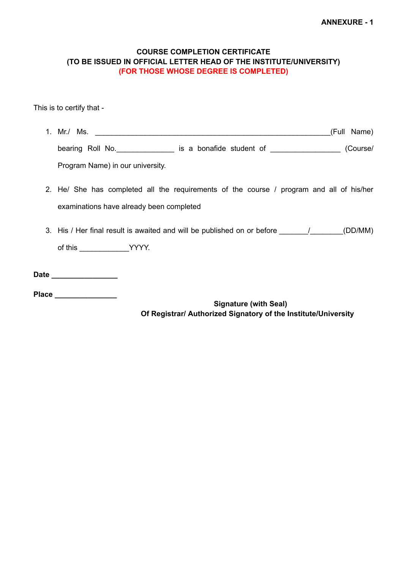#### **COURSE COMPLETION CERTIFICATE (TO BE ISSUED IN OFFICIAL LETTER HEAD OF THE INSTITUTE/UNIVERSITY) (FOR THOSE WHOSE DEGREE IS COMPLETED)**

This is to certify that -

| 1. Mr./ Ms.                      |                          |  | (Full Name) |  |
|----------------------------------|--------------------------|--|-------------|--|
| bearing Roll No.                 | is a bonafide student of |  | (Course/    |  |
| Program Name) in our university. |                          |  |             |  |

- 2. He/ She has completed all the requirements of the course / program and all of his/her examinations have already been completed
- 3. His / Her final result is awaited and will be published on or before \_\_\_\_\_\_\_/\_\_\_\_\_\_\_(DD/MM) of this \_\_\_\_\_\_\_\_\_\_\_\_YYYY.

**Date \_\_\_\_\_\_\_\_\_\_\_\_\_\_\_\_**

**Place \_\_\_\_\_\_\_\_\_\_\_\_\_\_\_**

**Signature (with Seal) Of Registrar/ Authorized Signatory of the Institute/University**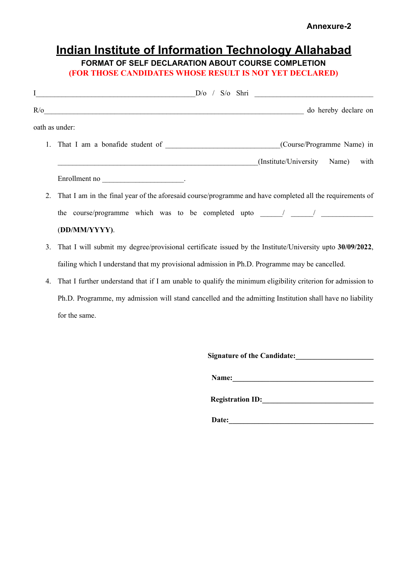# **Indian Institute of Information Technology Allahabad**

### **FORMAT OF SELF DECLARATION ABOUT COURSE COMPLETION (FOR THOSE CANDIDATES WHOSE RESULT IS NOT YET DECLARED)**

|    | $I$ $D/O$ / $S/O$ $Shri$                                                                                    |
|----|-------------------------------------------------------------------------------------------------------------|
|    | R/o do hereby declare on                                                                                    |
|    | oath as under:                                                                                              |
|    | (Course/Programme Name) in                                                                                  |
|    | (Institute/University Name) with                                                                            |
|    |                                                                                                             |
| 2. | That I am in the final year of the aforesaid course/programme and have completed all the requirements of    |
|    | the course/programme which was to be completed upto _____/ _____/ ______________                            |
|    | (DD/MM/YYYY).                                                                                               |
| 3. | That I will submit my degree/provisional certificate issued by the Institute/University upto 30/09/2022,    |
|    | failing which I understand that my provisional admission in Ph.D. Programme may be cancelled.               |
| 4. | That I further understand that if I am unable to qualify the minimum eligibility criterion for admission to |
|    | Ph.D. Programme, my admission will stand cancelled and the admitting Institution shall have no liability    |

for the same.

| <b>Signature of the Candidate:</b> |  |  |  |
|------------------------------------|--|--|--|
| Name:                              |  |  |  |
| <b>Registration ID:</b>            |  |  |  |

**Date:\_\_\_\_\_\_\_\_\_\_\_\_\_\_\_\_\_\_\_\_\_\_\_\_\_\_\_\_\_\_\_\_\_\_\_\_\_\_\_**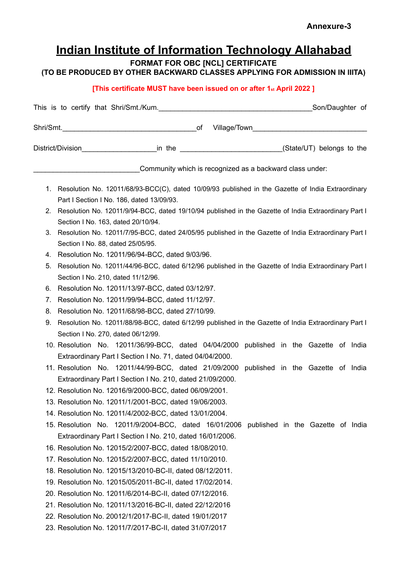## **Indian Institute of Information Technology Allahabad**

**FORMAT FOR OBC [NCL] CERTIFICATE**

**(TO BE PRODUCED BY OTHER BACKWARD CLASSES APPLYING FOR ADMISSION IN IIITA)**

#### **[This certificate MUST have been issued on or after 1st April 2022 ]**

|    | Village/Town Nillage/Town                                                                                                                     |  |  |  |  |
|----|-----------------------------------------------------------------------------------------------------------------------------------------------|--|--|--|--|
|    | District/Division_________________________in the ____________________________(State/UT) belongs to the                                        |  |  |  |  |
|    | Community which is recognized as a backward class under:                                                                                      |  |  |  |  |
|    | 1. Resolution No. 12011/68/93-BCC(C), dated 10/09/93 published in the Gazette of India Extraordinary                                          |  |  |  |  |
|    | Part I Section I No. 186, dated 13/09/93.                                                                                                     |  |  |  |  |
|    | 2. Resolution No. 12011/9/94-BCC, dated 19/10/94 published in the Gazette of India Extraordinary Part I<br>Section I No. 163, dated 20/10/94. |  |  |  |  |
|    | 3. Resolution No. 12011/7/95-BCC, dated 24/05/95 published in the Gazette of India Extraordinary Part I                                       |  |  |  |  |
|    | Section I No. 88, dated 25/05/95.                                                                                                             |  |  |  |  |
|    | 4. Resolution No. 12011/96/94-BCC, dated 9/03/96.                                                                                             |  |  |  |  |
| 5. | Resolution No. 12011/44/96-BCC, dated 6/12/96 published in the Gazette of India Extraordinary Part I<br>Section I No. 210, dated 11/12/96.    |  |  |  |  |
|    | 6. Resolution No. 12011/13/97-BCC, dated 03/12/97.                                                                                            |  |  |  |  |
|    | 7. Resolution No. 12011/99/94-BCC, dated 11/12/97.                                                                                            |  |  |  |  |
| 8. | Resolution No. 12011/68/98-BCC, dated 27/10/99.                                                                                               |  |  |  |  |
| 9. | Resolution No. 12011/88/98-BCC, dated 6/12/99 published in the Gazette of India Extraordinary Part I                                          |  |  |  |  |
|    | Section I No. 270, dated 06/12/99.                                                                                                            |  |  |  |  |
|    | 10. Resolution No. 12011/36/99-BCC, dated 04/04/2000 published in the Gazette of India                                                        |  |  |  |  |
|    | Extraordinary Part I Section I No. 71, dated 04/04/2000.                                                                                      |  |  |  |  |
|    | 11. Resolution No. 12011/44/99-BCC, dated 21/09/2000 published in the Gazette of India                                                        |  |  |  |  |
|    | Extraordinary Part I Section I No. 210, dated 21/09/2000.                                                                                     |  |  |  |  |
|    | 12. Resolution No. 12016/9/2000-BCC, dated 06/09/2001.                                                                                        |  |  |  |  |
|    | 13. Resolution No. 12011/1/2001-BCC, dated 19/06/2003.                                                                                        |  |  |  |  |
|    | 14. Resolution No. 12011/4/2002-BCC, dated 13/01/2004.                                                                                        |  |  |  |  |
|    | 15. Resolution No. 12011/9/2004-BCC, dated 16/01/2006<br>published in the Gazette of India                                                    |  |  |  |  |
|    | Extraordinary Part I Section I No. 210, dated 16/01/2006.                                                                                     |  |  |  |  |
|    | 16. Resolution No. 12015/2/2007-BCC, dated 18/08/2010.                                                                                        |  |  |  |  |
|    | 17. Resolution No. 12015/2/2007-BCC, dated 11/10/2010.                                                                                        |  |  |  |  |
|    | 18. Resolution No. 12015/13/2010-BC-II, dated 08/12/2011.                                                                                     |  |  |  |  |
|    | 19. Resolution No. 12015/05/2011-BC-II, dated 17/02/2014.                                                                                     |  |  |  |  |
|    | 20. Resolution No. 12011/6/2014-BC-II, dated 07/12/2016.                                                                                      |  |  |  |  |
|    | 21. Resolution No. 12011/13/2016-BC-II, dated 22/12/2016                                                                                      |  |  |  |  |
|    | 22. Resolution No. 20012/1/2017-BC-II, dated 19/01/2017                                                                                       |  |  |  |  |
|    | 23. Resolution No. 12011/7/2017-BC-II, dated 31/07/2017                                                                                       |  |  |  |  |
|    |                                                                                                                                               |  |  |  |  |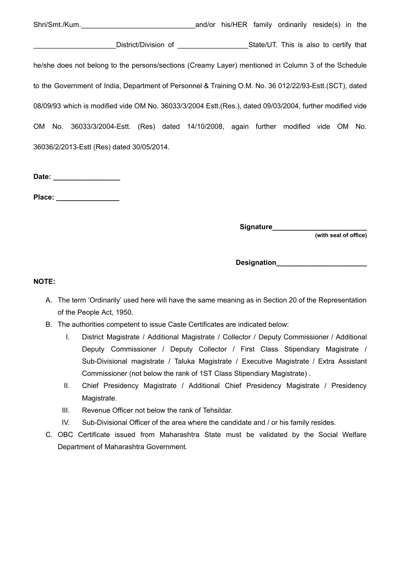Shri/Smt./Kum.\_\_\_\_\_\_\_\_\_\_\_\_\_\_\_\_\_\_\_\_\_\_\_\_\_\_\_\_\_and/or his/HER family ordinarily reside(s) in the \_\_\_\_\_\_\_\_\_\_\_\_\_\_\_\_\_\_\_\_\_District/Division of \_\_\_\_\_\_\_\_\_\_\_\_\_\_\_\_\_\_State/UT. This is also to certify that he/she does not belong to the persons/sections (Creamy Layer) mentioned in Column 3 of the Schedule to the Government of India, Department of Personnel & Training O.M. No. 36 012/22/93-Estt.(SCT), dated 08/09/93 which is modified vide OM No. 36033/3/2004 Estt.(Res.), dated 09/03/2004, further modified vide OM No. 36033/3/2004-Estt. (Res) dated 14/10/2008, again further modified vide OM No. 36036/2/2013-Estt (Res) dated 30/05/2014.

**Date: \_\_\_\_\_\_\_\_\_\_\_\_\_\_\_\_\_**

**Place: \_\_\_\_\_\_\_\_\_\_\_\_\_\_\_\_**

**Signature\_\_\_\_\_\_\_\_\_\_\_\_\_\_\_\_\_\_\_\_\_\_\_\_**

**(with seal of office)**

**Designation\_\_\_\_\_\_\_\_\_\_\_\_\_\_\_\_\_\_\_\_\_\_\_**

#### **NOTE:**

- A. The term 'Ordinarily' used here will have the same meaning as in Section 20 of the Representation of the People Act, 1950.
- B. The authorities competent to issue Caste Certificates are indicated below:
	- I. District Magistrate / Additional Magistrate / Collector / Deputy Commissioner / Additional Deputy Commissioner / Deputy Collector / First Class Stipendiary Magistrate / Sub-Divisional magistrate / Taluka Magistrate / Executive Magistrate / Extra Assistant Commissioner (not below the rank of 1ST Class Stipendiary Magistrate) .
	- II. Chief Presidency Magistrate / Additional Chief Presidency Magistrate / Presidency Magistrate.
	- III. Revenue Officer not below the rank of Tehsildar.
	- IV. Sub-Divisional Officer of the area where the candidate and / or his family resides.
- C. OBC Certificate issued from Maharashtra State must be validated by the Social Welfare Department of Maharashtra Government.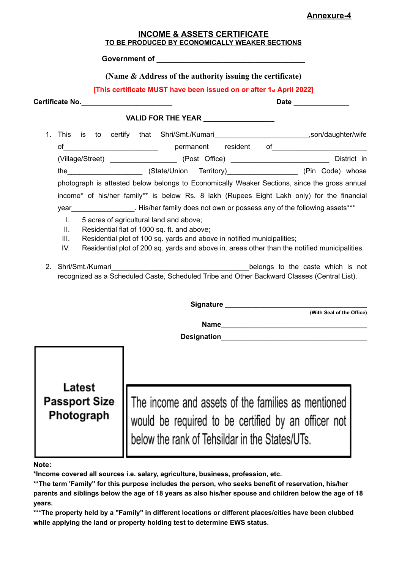#### **Annexure-4**

| <b>INCOME &amp; ASSETS CERTIFICATE</b>         |  |
|------------------------------------------------|--|
| TO BE PRODUCED BY ECONOMICALLY WEAKER SECTIONS |  |

**Government of \_\_\_\_\_\_\_\_\_\_\_\_\_\_\_\_\_\_\_\_\_\_\_\_\_\_\_\_\_\_\_\_\_\_\_\_**

#### **(Name & Address of the authority issuing the certificate)**

**[This certificate MUST have been issued on or after 1st April 2022]**

**Certificate No.\_\_\_\_\_\_\_\_\_\_\_\_\_\_\_\_\_\_\_\_\_\_\_ Date \_\_\_\_\_\_\_\_\_\_\_\_\_\_ VALID FOR THE YEAR \_\_\_\_\_\_\_\_\_\_\_\_\_\_\_\_\_\_** 1. This is to certify that Shri/Smt./Kumari\_\_\_\_\_\_\_\_\_\_\_\_\_\_\_\_\_\_\_\_\_\_\_\_,son/daughter/wife of ermanent resident of (Village/Street) \_\_\_\_\_\_\_\_\_\_\_\_\_\_\_\_\_ (Post Office) \_\_\_\_\_\_\_\_\_\_\_\_\_\_\_\_\_\_\_\_\_\_\_\_\_ District in the the the the state/Union Territory) (State (Pin Code) whose photograph is attested below belongs to Economically Weaker Sections, since the gross annual income\* of his/her family\*\* is below Rs. 8 lakh (Rupees Eight Lakh only) for the financial year example in His/her family does not own or possess any of the following assets\*\*\* I. 5 acres of agricultural land and above; II. Residential flat of 1000 sq. ft. and above; III. Residential plot of 100 sq. yards and above in notified municipalities; IV. Residential plot of 200 sq. yards and above in. areas other than the notified municipalities. 2. Shri/Smt./Kumari **Example 2.** Shri/Smt./Kumari recognized as a Scheduled Caste, Scheduled Tribe and Other Backward Classes (Central List). Signature **Lawrence and Signature (With Seal of the Office) Name\_\_\_\_\_\_\_\_\_\_\_\_\_\_\_\_\_\_\_\_\_\_\_\_\_\_\_\_\_\_\_\_\_\_\_\_\_ Designation** Latest The income and assets of the families as mentioned **Passport Size** Photograph would be required to be certified by an officer not below the rank of Tehsildar in the States/UTs.

#### **Note:**

**\*Income covered all sources i.e. salary, agriculture, business, profession, etc.**

**\*\*The term 'Family" for this purpose includes the person, who seeks benefit of reservation, his/her** parents and siblings below the age of 18 years as also his/her spouse and children below the age of 18 **years.**

**\*\*\*The property held by a "Family'' in different locations or different places/cities have been clubbed while applying the land or property holding test to determine EWS status.**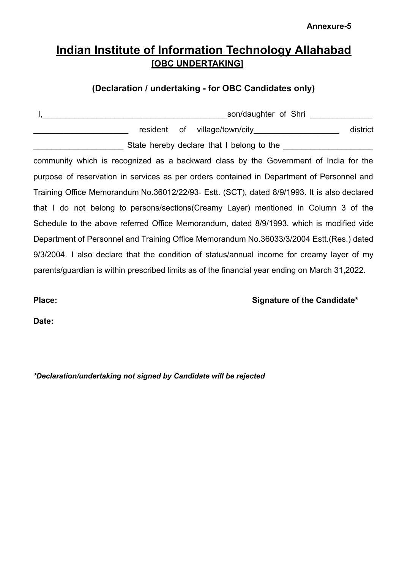**Annexure-5**

## **Indian Institute of Information Technology Allahabad [OBC UNDERTAKING]**

### **(Declaration / undertaking - for OBC Candidates only)**

| district                                                                                    |
|---------------------------------------------------------------------------------------------|
|                                                                                             |
| community which is recognized as a backward class by the Government of India for the        |
| purpose of reservation in services as per orders contained in Department of Personnel and   |
| Training Office Memorandum No.36012/22/93- Estt. (SCT), dated 8/9/1993. It is also declared |
| that I do not belong to persons/sections(Creamy Layer) mentioned in Column 3 of the         |
| Schedule to the above referred Office Memorandum, dated 8/9/1993, which is modified vide    |
| Department of Personnel and Training Office Memorandum No.36033/3/2004 Estt. (Res.) dated   |
| 9/3/2004. I also declare that the condition of status/annual income for creamy layer of my  |
|                                                                                             |
|                                                                                             |

**Place: Signature of the Candidate\***

**Date:**

*\*Declaration/undertaking not signed by Candidate will be rejected*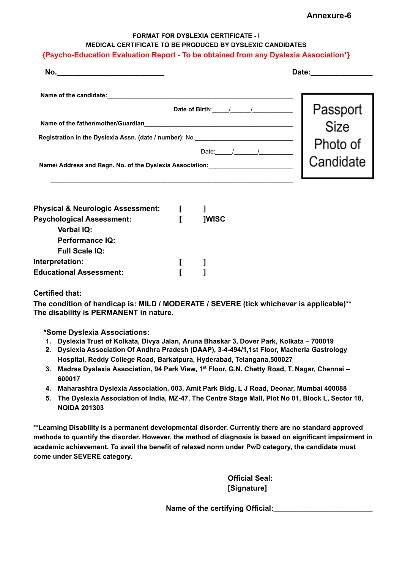| Annexure-6 |  |
|------------|--|
|------------|--|

#### **FORMAT FOR DYSLEXIA CERTIFICATE - I MEDICAL CERTIFICATE TO BE PRODUCED BY DYSLEXIC CANDIDATES**

#### **{Psycho-Education Evaluation Report - To be obtained from any Dyslexia Association\*}**

| No.                                                                                                                                                                                                            | Date:                                     |
|----------------------------------------------------------------------------------------------------------------------------------------------------------------------------------------------------------------|-------------------------------------------|
| Name of the candidate:<br>Date of Birth:<br>Name of the father/mother/Guardian<br>Registration in the Dyslexia Assn. (date / number): No.<br>Date:<br>Name/ Address and Regn. No. of the Dyslexia Association: | Passport<br>Size<br>Photo of<br>Candidate |

| <b>Physical &amp; Neurologic Assessment:</b> |              |
|----------------------------------------------|--------------|
| <b>Psychological Assessment:</b>             | <b>IWISC</b> |
| <b>Verbal IQ:</b>                            |              |
| <b>Performance IQ:</b>                       |              |
| <b>Full Scale IQ:</b>                        |              |
| Interpretation:                              |              |
| <b>Educational Assessment:</b>               |              |

#### **Certified that:**

**The condition of handicap is: MILD / MODERATE / SEVERE (tick whichever is applicable)\*\* The disability is PERMANENT in nature.**

**\*Some Dyslexia Associations:**

- **1. Dyslexia Trust of Kolkata, Divya Jalan, Aruna Bhaskar 3, Dover Park, Kolkata – 700019**
- **2. Dyslexia Association Of Andhra Pradesh (DAAP), 3-4-494/1,1st Floor, Macherla Gastrology Hospital, Reddy College Road, Barkatpura, Hyderabad, Telangana,500027**
- **3. Madras Dyslexia Association, 94 Park View, 1 st Floor, G.N. Chetty Road, T. Nagar, Chennai – 600017**
- **4. Maharashtra Dyslexia Association, 003, Amit Park Bldg, L J Road, Deonar, Mumbai 400088**
- 5. The Dyslexia Association of India, MZ-47, The Centre Stage Mall, Plot No 01, Block L, Sector 18, **NOIDA 201303**

**\*\*Learning Disability is a permanent developmental disorder. Currently there are no standard approved methods to quantify the disorder. However, the method of diagnosis is based on significant impairment in academic achievement. To avail the benefit of relaxed norm under PwD category, the candidate must come under SEVERE category.**

> **Official Seal: [Signature]**

**Name of the certifying Official:\_\_\_\_\_\_\_\_\_\_\_\_\_\_\_\_\_\_\_\_\_\_\_\_**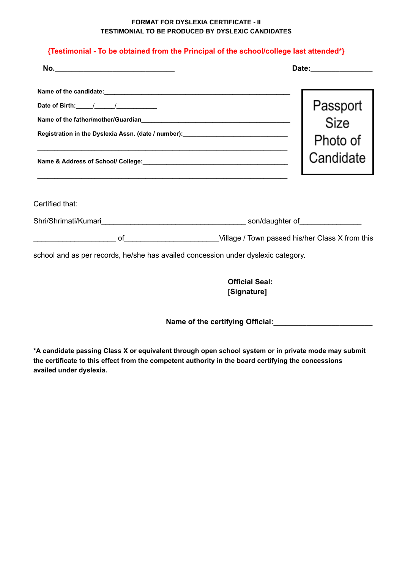#### **FORMAT FOR DYSLEXIA CERTIFICATE - II TESTIMONIAL TO BE PRODUCED BY DYSLEXIC CANDIDATES**

#### **{Testimonial - To be obtained from the Principal of the school/college last attended\*}**

| No.<br><u> 1989 - Johann John Stein, markin fan it fjort fan it fjort fan it fjort fan it fjort fan it fjort fan it fjort </u>                                                                                                                                                                                                                                                         |                                                           | Date: _______________        |
|----------------------------------------------------------------------------------------------------------------------------------------------------------------------------------------------------------------------------------------------------------------------------------------------------------------------------------------------------------------------------------------|-----------------------------------------------------------|------------------------------|
| Date of Birth: $\frac{1}{2}$ / $\frac{1}{2}$ / $\frac{1}{2}$ / $\frac{1}{2}$ / $\frac{1}{2}$ / $\frac{1}{2}$ / $\frac{1}{2}$ / $\frac{1}{2}$ / $\frac{1}{2}$ / $\frac{1}{2}$ / $\frac{1}{2}$ / $\frac{1}{2}$ / $\frac{1}{2}$ / $\frac{1}{2}$ / $\frac{1}{2}$ / $\frac{1}{2}$ / $\frac{1}{2}$ / $\$<br>Registration in the Dyslexia Assn. (date / number): ____________________________ |                                                           | Passport<br>Size<br>Photo of |
|                                                                                                                                                                                                                                                                                                                                                                                        |                                                           | Candidate                    |
| Certified that:                                                                                                                                                                                                                                                                                                                                                                        |                                                           |                              |
|                                                                                                                                                                                                                                                                                                                                                                                        |                                                           |                              |
| school and as per records, he/she has availed concession under dyslexic category.                                                                                                                                                                                                                                                                                                      | of <b>Willage / Town passed his/her Class X from this</b> |                              |
|                                                                                                                                                                                                                                                                                                                                                                                        | <b>Official Seal:</b>                                     |                              |
|                                                                                                                                                                                                                                                                                                                                                                                        | [Signature]                                               |                              |

**Name of the certifying Official:\_\_\_\_\_\_\_\_\_\_\_\_\_\_\_\_\_\_\_\_\_\_\_\_**

**\*A candidate passing Class X or equivalent through open school system or in private mode may submit the certificate to this effect from the competent authority in the board certifying the concessions availed under dyslexia.**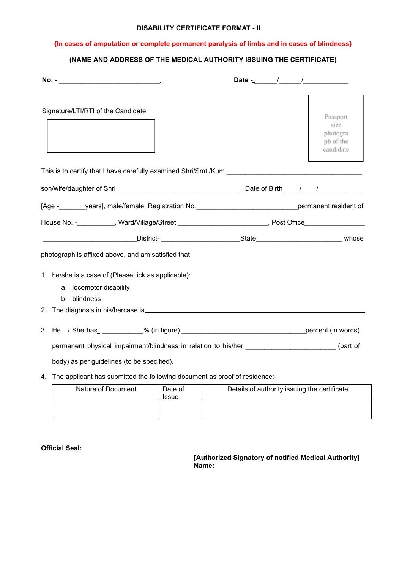#### **DISABILITY CERTIFICATE FORMAT - II**

#### **{In cases of amputation or complete permanent paralysis of limbs and in cases of blindness}**

#### **(NAME AND ADDRESS OF THE MEDICAL AUTHORITY ISSUING THE CERTIFICATE)**

| Signature/LTI/RTI of the Candidate                                                                          |                            |                                              | Passport<br>size<br>photogra<br>ph of the<br>candidate |
|-------------------------------------------------------------------------------------------------------------|----------------------------|----------------------------------------------|--------------------------------------------------------|
| This is to certify that I have carefully examined Shri/Smt./Kum.                                            |                            |                                              |                                                        |
|                                                                                                             |                            |                                              |                                                        |
| [Age -_________years], male/female, Registration No.__________________________________permanent resident of |                            |                                              |                                                        |
| House No. -__________, Ward/Village/Street ______________________, Post Office_______________               |                            |                                              |                                                        |
|                                                                                                             |                            |                                              |                                                        |
| photograph is affixed above, and am satisfied that                                                          |                            |                                              |                                                        |
| 1. he/she is a case of (Please tick as applicable):<br>a. locomotor disability<br>blindness<br>b.           |                            |                                              |                                                        |
|                                                                                                             |                            |                                              |                                                        |
|                                                                                                             |                            |                                              |                                                        |
| permanent physical impairment/blindness in relation to his/her _________________________(part of            |                            |                                              |                                                        |
| body) as per guidelines (to be specified).                                                                  |                            |                                              |                                                        |
| 4. The applicant has submitted the following document as proof of residence:-                               |                            |                                              |                                                        |
| Nature of Document                                                                                          | Date of<br>$1 - 1 - 1 = 1$ | Details of authority issuing the certificate |                                                        |

| Nature of Document | Date of<br>Issue | Details of authority issuing the certificate |
|--------------------|------------------|----------------------------------------------|
|                    |                  |                                              |

**Official Seal:**

**[Authorized Signatory of notified Medical Authority] Name:**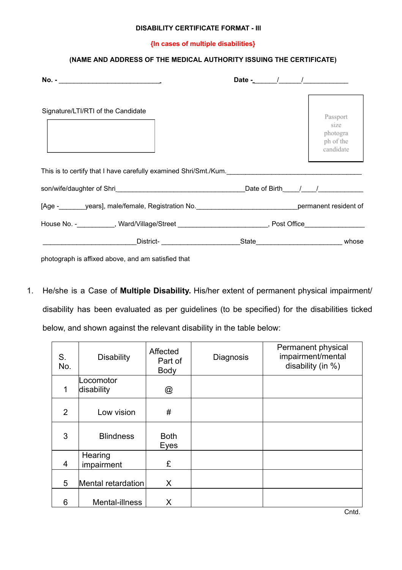#### **DISABILITY CERTIFICATE FORMAT - IIl**

#### **{In cases of multiple disabilities}**

#### **(NAME AND ADDRESS OF THE MEDICAL AUTHORITY ISSUING THE CERTIFICATE)**

|                                                                                                     | Date $ /$ $/$ $/$ |                                                        |
|-----------------------------------------------------------------------------------------------------|-------------------|--------------------------------------------------------|
| Signature/LTI/RTI of the Candidate                                                                  |                   | Passport<br>size<br>photogra<br>ph of the<br>candidate |
| This is to certify that I have carefully examined Shri/Smt./Kum.                                    |                   |                                                        |
|                                                                                                     |                   |                                                        |
| [Age - years], male/female, Registration No. The reason of the permanent resident of                |                   |                                                        |
| House No. -___________, Ward/Village/Street _________________________, Post Office_________________ |                   |                                                        |
| District-                                                                                           |                   | State whose                                            |

photograph is affixed above, and am satisfied that

1. He/she is a Case of **Multiple Disability.** His/her extent of permanent physical impairment/ disability has been evaluated as per guidelines (to be specified) for the disabilities ticked below, and shown against the relevant disability in the table below:

| S.<br>No. | <b>Disability</b>       | Affected<br>Part of<br><b>Body</b> | <b>Diagnosis</b> | Permanent physical<br>impairment/mental<br>disability (in %) |
|-----------|-------------------------|------------------------------------|------------------|--------------------------------------------------------------|
| 1         | .ocomotor<br>disability | @                                  |                  |                                                              |
| 2         | Low vision              | #                                  |                  |                                                              |
| 3         | <b>Blindness</b>        | <b>Both</b><br>Eyes                |                  |                                                              |
| 4         | Hearing<br>impairment   | £                                  |                  |                                                              |
| 5         | Mental retardation      | X                                  |                  |                                                              |
| 6         | Mental-illness          | X                                  |                  |                                                              |

Cntd.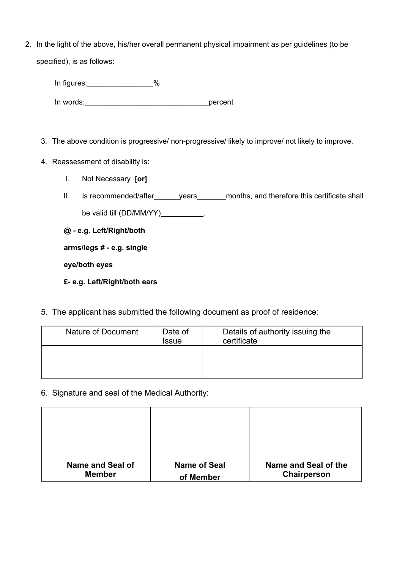2. In the light of the above, his/her overall permanent physical impairment as per guidelines (to be specified), is as follows:

| In figures: | $\%$ |         |
|-------------|------|---------|
| In words:   |      | percent |

- 3. The above condition is progressive/ non-progressive/ likely to improve/ not likely to improve.
- 4. Reassessment of disability is:
	- I. Not Necessary **[or]**
	- II. Is recommended/after\_\_\_\_\_\_years\_\_\_\_\_\_\_months, and therefore this certificate shall be valid till (DD/MM/YY)\_\_\_\_\_\_\_\_\_\_.

**@ - e.g. Left/Right/both**

**arms/legs # - e.g. single**

**eye/both eyes**

**£- e.g. Left/Right/both ears**

5. The applicant has submitted the following document as proof of residence:

| Nature of Document | Date of<br>Issue | Details of authority issuing the<br>certificate |
|--------------------|------------------|-------------------------------------------------|
|                    |                  |                                                 |

6. Signature and seal of the Medical Authority:

| <b>Name and Seal of</b> | <b>Name of Seal</b> | Name and Seal of the |
|-------------------------|---------------------|----------------------|
| <b>Member</b>           | of Member           | Chairperson          |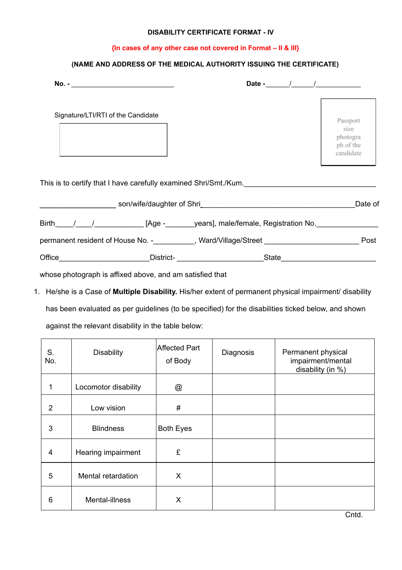#### **DISABILITY CERTIFICATE FORMAT - IV**

#### **{In cases of any other case not covered in Format – II & III}**

#### **(NAME AND ADDRESS OF THE MEDICAL AUTHORITY ISSUING THE CERTIFICATE)**

| Signature/LTI/RTI of the Candidate |                                                                                  | Passport<br>size<br>photogra<br>ph of the<br>candidate |
|------------------------------------|----------------------------------------------------------------------------------|--------------------------------------------------------|
|                                    | This is to certify that I have carefully examined Shri/Smt./Kum.                 |                                                        |
|                                    |                                                                                  | Date of                                                |
|                                    | Birth / / [Age - years], male/female, Registration No.                           |                                                        |
|                                    | permanent resident of House No. -__________, Ward/Village/Street _______________ | Post                                                   |
| Office                             | _District- ____________________<br>State                                         |                                                        |

whose photograph is affixed above, and am satisfied that

1. He/she is a Case of **Multiple Disability.** His/her extent of permanent physical impairment/ disability has been evaluated as per guidelines (to be specified) for the disabilities ticked below, and shown against the relevant disability in the table below:

| S.<br>No. | <b>Disability</b>    | Affected Part<br>of Body | Diagnosis | Permanent physical<br>impairment/mental<br>disability (in %) |
|-----------|----------------------|--------------------------|-----------|--------------------------------------------------------------|
| 1         | Locomotor disability | @                        |           |                                                              |
| 2         | Low vision           | #                        |           |                                                              |
| 3         | <b>Blindness</b>     | <b>Both Eyes</b>         |           |                                                              |
| 4         | Hearing impairment   | £                        |           |                                                              |
| 5         | Mental retardation   | X                        |           |                                                              |
| 6         | Mental-illness       | X                        |           |                                                              |

Cntd.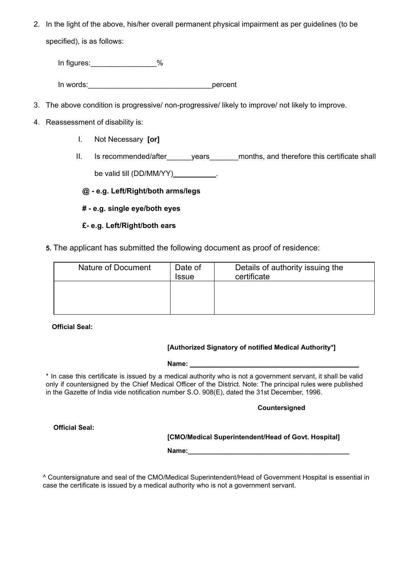2. In the light of the above, his/her overall permanent physical impairment as per guidelines (to be specified), is as follows:

In figures: 30 %

In words: example of the state of the state of the state of the state of the state of the state of the state o

- 3. The above condition is progressive/ non-progressive/ likely to improve/ not likely to improve.
- 4. Reassessment of disability is:
	- I. Not Necessary **[or]**
	- II. Is recommended/after years months, and therefore this certificate shall be valid till (DD/MM/YY)\_\_\_\_\_\_\_\_\_\_.

**@ - e.g. Left/Right/both arms/legs**

**# - e.g. single eye/both eyes**

#### **£- e.g. Left/Right/both ears**

**5.** The applicant has submitted the following document as proof of residence:

| Nature of Document | Date of<br><b>Issue</b> | Details of authority issuing the<br>certificate |
|--------------------|-------------------------|-------------------------------------------------|
|                    |                         |                                                 |

**Official Seal:**

#### **[Authorized Signatory of notified Medical Authority\*]**

**Name: \_\_\_\_\_\_\_\_\_\_\_\_\_\_\_\_\_\_\_\_\_\_\_\_\_\_\_\_\_\_\_\_\_\_\_\_\_\_\_\_\_\_\_\_\_**

\* In case this certificate is issued by a medical authority who is not a government servant, it shall be valid only if countersigned by the Chief Medical Officer of the District. Note: The principal rules were published in the Gazette of India vide notification number S.O. 908(E), dated the 31st December, 1996.

#### **Countersigned**

#### **[CMO/Medical Superintendent/Head of Govt. Hospital]**

Name:

^ Countersignature and seal of the CMO/Medical Superintendent/Head of Government Hospital is essential in case the certificate is issued by a medical authority who is not a government servant.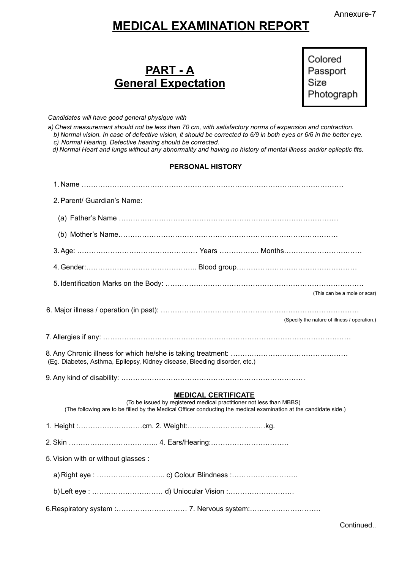# **MEDICAL EXAMINATION REPORT**

Colored Passport Size Photograph

*Candidates will have good general physique with*

*a) Chest measurement should not be less than 70 cm, with satisfactory norms of expansion and contraction.* b) Normal vision. In case of defective vision, it should be corrected to 6/9 in both eyes or 6/6 in the better eye. *c) Normal Hearing. Defective hearing should be corrected.*

d) Normal Heart and lungs without any abnormality and having no history of mental illness and/or epileptic fits.

#### **PERSONAL HISTORY**

| 2. Parent/ Guardian's Name:                                               |                                                                      |                            |                                                                                                                   |
|---------------------------------------------------------------------------|----------------------------------------------------------------------|----------------------------|-------------------------------------------------------------------------------------------------------------------|
|                                                                           |                                                                      |                            |                                                                                                                   |
|                                                                           |                                                                      |                            |                                                                                                                   |
|                                                                           |                                                                      |                            |                                                                                                                   |
|                                                                           |                                                                      |                            |                                                                                                                   |
|                                                                           |                                                                      |                            |                                                                                                                   |
|                                                                           |                                                                      |                            | (This can be a mole or scar)                                                                                      |
|                                                                           |                                                                      |                            | (Specify the nature of illness / operation.)                                                                      |
|                                                                           |                                                                      |                            |                                                                                                                   |
| (Eg. Diabetes, Asthma, Epilepsy, Kidney disease, Bleeding disorder, etc.) |                                                                      |                            |                                                                                                                   |
|                                                                           |                                                                      |                            |                                                                                                                   |
|                                                                           | (To be issued by registered medical practitioner not less than MBBS) | <b>MEDICAL CERTIFICATE</b> | (The following are to be filled by the Medical Officer conducting the medical examination at the candidate side.) |
|                                                                           |                                                                      |                            |                                                                                                                   |
|                                                                           |                                                                      |                            |                                                                                                                   |
| 5. Vision with or without glasses :                                       |                                                                      |                            |                                                                                                                   |
|                                                                           |                                                                      |                            |                                                                                                                   |
|                                                                           |                                                                      |                            |                                                                                                                   |
|                                                                           |                                                                      |                            |                                                                                                                   |

Continued..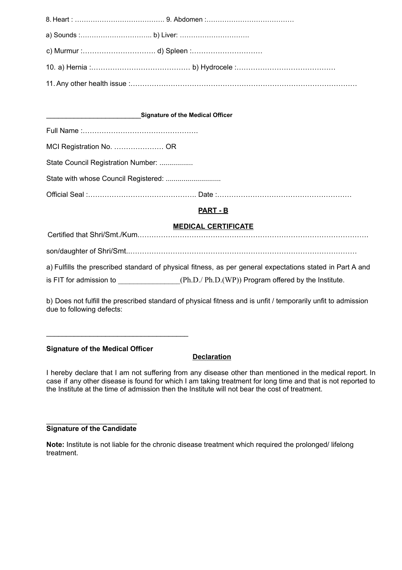| <b>Signature of the Medical Officer</b> |          |  |
|-----------------------------------------|----------|--|
|                                         |          |  |
| MCI Registration No.  OR                |          |  |
| State Council Registration Number:      |          |  |
|                                         |          |  |
|                                         |          |  |
|                                         | PART - B |  |

#### **MEDICAL CERTIFICATE**

Certified that Shri/Smt./Kum.……………………………………………………………………………………. son/daughter of Shri/Smt..…………………………………………………………………………………… a) Fulfills the prescribed standard of physical fitness, as per general expectations stated in Part A and is FIT for admission to \_\_\_\_\_\_\_\_\_\_\_\_\_\_\_(Ph.D./ Ph.D.(WP)) Program offered by the Institute.

b) Does not fulfill the prescribed standard of physical fitness and is unfit / temporarily unfit to admission due to following defects:

#### **Signature of the Medical Officer**

 $\mathcal{L}_\text{max}$  , where  $\mathcal{L}_\text{max}$  , we are the set of the set of the set of the set of the set of the set of the set of the set of the set of the set of the set of the set of the set of the set of the set of the set of

#### **Declaration**

I hereby declare that I am not suffering from any disease other than mentioned in the medical report. In case if any other disease is found for which I am taking treatment for long time and that is not reported to the Institute at the time of admission then the Institute will not bear the cost of treatment.

#### $\overline{\phantom{a}}$ **Signature of the Candidate**

**Note:** Institute is not liable for the chronic disease treatment which required the prolonged/ lifelong treatment.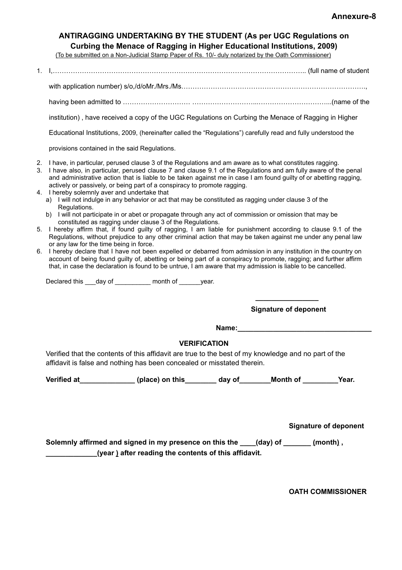#### **ANTIRAGGING UNDERTAKING BY THE STUDENT (As per UGC Regulations on Curbing the Menace of Ragging in Higher Educational Institutions, 2009)**

(To be submitted on a Non-Judicial Stamp Paper of Rs. 10/- duly notarized by the Oath Commissioner)

- 1. I,………………………………………………………………………………………………….. (full name of student
	- with application number) s/o,/d/oMr./Mrs./Ms……………………………………………………………………….,
	- having been admitted to ………………………… ………………………...…………………………...(name of the

institution) , have received a copy of the UGC Regulations on Curbing the Menace of Ragging in Higher

Educational Institutions, 2009, (hereinafter called the "Regulations") carefully read and fully understood the

provisions contained in the said Regulations.

- 2. I have, in particular, perused clause 3 of the Regulations and am aware as to what constitutes ragging.
- 3. I have also, in particular, perused clause 7 and clause 9.1 of the Regulations and am fully aware of the penal and administrative action that is liable to be taken against me in case I am found guilty of or abetting ragging, actively or passively, or being part of a conspiracy to promote ragging.
- 4. I hereby solemnly aver and undertake that
	- a) I will not indulge in any behavior or act that may be constituted as ragging under clause 3 of the Regulations.
	- b) I will not participate in or abet or propagate through any act of commission or omission that may be constituted as ragging under clause 3 of the Regulations.
- 5. I hereby affirm that, if found guilty of ragging, I am liable for punishment according to clause 9.1 of the Regulations, without prejudice to any other criminal action that may be taken against me under any penal law or any law for the time being in force.
- 6. I hereby declare that I have not been expelled or debarred from admission in any institution in the country on account of being found guilty of, abetting or being part of a conspiracy to promote, ragging; and further affirm that, in case the declaration is found to be untrue, I am aware that my admission is liable to be cancelled.

Declared this \_\_\_day of \_\_\_\_\_\_\_\_\_ month of \_\_\_\_\_\_year.

**\_\_\_\_\_\_\_\_\_\_\_\_\_\_\_\_ Signature of deponent**

**Name:\_\_\_\_\_\_\_\_\_\_\_\_\_\_\_\_\_\_\_\_\_\_\_\_\_\_\_\_\_\_\_\_\_\_**

#### **VERIFICATION**

Verified that the contents of this affidavit are true to the best of my knowledge and no part of the affidavit is false and nothing has been concealed or misstated therein.

**Verified at\_\_\_\_\_\_\_\_\_\_\_\_\_\_ (place) on this\_\_\_\_\_\_\_\_ day of\_\_\_\_\_\_\_\_Month of \_\_\_\_\_\_\_\_\_Year.**

**Signature of deponent**

**Solemnly affirmed and signed in my presence on this the \_\_\_\_(day) of \_\_\_\_\_\_\_ (month) , \_\_\_\_\_\_\_\_\_\_\_\_\_(year ) after reading the contents of this affidavit.**

**OATH COMMISSIONER**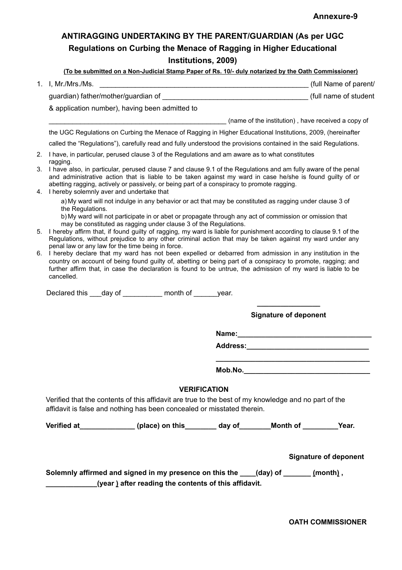## **ANTIRAGGING UNDERTAKING BY THE PARENT/GUARDIAN (As per UGC Regulations on Curbing the Menace of Ragging in Higher Educational Institutions, 2009)**

|    | (To be submitted on a Non-Judicial Stamp Paper of Rs. 10/- duly notarized by the Oath Commissioner)                                                                                                                                                                                                                                                                                                         |  |  |
|----|-------------------------------------------------------------------------------------------------------------------------------------------------------------------------------------------------------------------------------------------------------------------------------------------------------------------------------------------------------------------------------------------------------------|--|--|
|    | (full Name of parent/                                                                                                                                                                                                                                                                                                                                                                                       |  |  |
|    |                                                                                                                                                                                                                                                                                                                                                                                                             |  |  |
|    | & application number), having been admitted to                                                                                                                                                                                                                                                                                                                                                              |  |  |
|    | (name of the institution), have received a copy of                                                                                                                                                                                                                                                                                                                                                          |  |  |
|    | the UGC Regulations on Curbing the Menace of Ragging in Higher Educational Institutions, 2009, (hereinafter                                                                                                                                                                                                                                                                                                 |  |  |
|    | called the "Regulations"), carefully read and fully understood the provisions contained in the said Regulations.                                                                                                                                                                                                                                                                                            |  |  |
| 2. | I have, in particular, perused clause 3 of the Regulations and am aware as to what constitutes                                                                                                                                                                                                                                                                                                              |  |  |
|    | ragging.<br>3. I have also, in particular, perused clause 7 and clause 9.1 of the Regulations and am fully aware of the penal<br>and administrative action that is liable to be taken against my ward in case he/she is found guilty of or<br>abetting ragging, actively or passively, or being part of a conspiracy to promote ragging.<br>4. I hereby solemnly aver and undertake that                    |  |  |
|    | a) My ward will not indulge in any behavior or act that may be constituted as ragging under clause 3 of<br>the Regulations.<br>b) My ward will not participate in or abet or propagate through any act of commission or omission that                                                                                                                                                                       |  |  |
| 5. | may be constituted as ragging under clause 3 of the Regulations.<br>I hereby affirm that, if found guilty of ragging, my ward is liable for punishment according to clause 9.1 of the<br>Regulations, without prejudice to any other criminal action that may be taken against my ward under any                                                                                                            |  |  |
| 6. | penal law or any law for the time being in force.<br>I hereby declare that my ward has not been expelled or debarred from admission in any institution in the<br>country on account of being found guilty of, abetting or being part of a conspiracy to promote, ragging; and<br>further affirm that, in case the declaration is found to be untrue, the admission of my ward is liable to be<br>cancelled. |  |  |
|    | Declared this ___day of _________ month of ______year.                                                                                                                                                                                                                                                                                                                                                      |  |  |
|    | <b>Signature of deponent</b>                                                                                                                                                                                                                                                                                                                                                                                |  |  |
|    |                                                                                                                                                                                                                                                                                                                                                                                                             |  |  |
|    | Address: Analysis and the contract of the contract of the contract of the contract of the contract of the contract of the contract of the contract of the contract of the contract of the contract of the contract of the cont                                                                                                                                                                              |  |  |
|    | Mob.No.                                                                                                                                                                                                                                                                                                                                                                                                     |  |  |
|    |                                                                                                                                                                                                                                                                                                                                                                                                             |  |  |
|    | <b>VERIFICATION</b><br>Verified that the contents of this affidavit are true to the best of my knowledge and no part of the<br>affidavit is false and nothing has been concealed or misstated therein.                                                                                                                                                                                                      |  |  |
|    | Verified at _______________(place) on this ________ day of ________Month of ________Year.                                                                                                                                                                                                                                                                                                                   |  |  |
|    | <b>Signature of deponent</b>                                                                                                                                                                                                                                                                                                                                                                                |  |  |
|    | Solemnly affirmed and signed in my presence on this the ____(day) of _______ (month),<br>(year) after reading the contents of this affidavit.                                                                                                                                                                                                                                                               |  |  |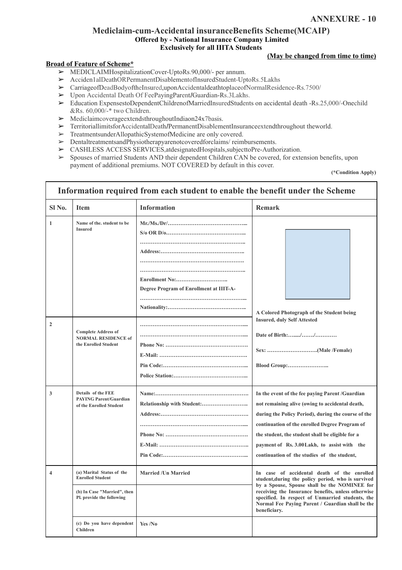#### **Mediclaim-cum-Accidental insuranceBenefits Scheme(MCAIP) Offered by - National Insurance Company Limited Exclusively for all IIITA Students**

#### **(May be changed from time to time)**

#### **Broad of Feature of Scheme\***

- ➢ MEDICLAIMHospitalizationCover-UptoRs.90,000/- per annum.
- ➢ Acciden1alDeathORPermanentDisablementofInsuredStudent-UptoRs.5Lakhs
- ➢ CarriageofDeadBodyoftheInsured,uponAccidentaldeathtoplaceofNormalResidence-Rs.7500/
- ➢ Upon Accidental Death Of FeePayingParent*I*Guardian-Rs.3Lakhs.
- ➢ Education ExpensestoDependentChildrenofMarriedInsuredStudents on accidental death -Rs.25,000/-Onechild &Rs. 60,000/-\* two Children.
- $\triangleright$  Mediclaimcoverage extends throughout India on 24x7 basis.
- ➢ TerritoriallimitsforAccidentalDeath*I*PermanentDisablementInsuranceextendthroughout theworld.
- ➢ TreatmentsunderAllopathicSystemofMedicine are only covered.
- ➢ DentaltreatmentsandPhysiotherapyarenotcoveredforclaims/ reimbursements.
- ➢ CASHLESS ACCESS SERVICES,atdesignatedHospitals,subjecttoPre-Authorization.
- ➢ Spouses of married Students AND their dependent Children CAN be covered, for extension benefits, upon payment of additional premiums. NOT COVERED by default in this cover.

**(\*Condition Apply)**

| Information required from each student to enable the benefit under the Scheme |                                                                                                                  |                                         |                                                                                                                                                                                                                                                                                                                                                                |  |
|-------------------------------------------------------------------------------|------------------------------------------------------------------------------------------------------------------|-----------------------------------------|----------------------------------------------------------------------------------------------------------------------------------------------------------------------------------------------------------------------------------------------------------------------------------------------------------------------------------------------------------------|--|
| SI No.                                                                        | <b>Item</b>                                                                                                      | <b>Information</b>                      | <b>Remark</b>                                                                                                                                                                                                                                                                                                                                                  |  |
| $\mathbf{1}$                                                                  | Name of the, student to be<br><b>Insured</b>                                                                     | Degree Program of Enrollment at IIIT-A- | A Colored Photograph of the Student being<br><b>Insured, duly Self Attested</b>                                                                                                                                                                                                                                                                                |  |
| $\overline{2}$                                                                | <b>Complete Address of</b><br><b>NORMAL RESIDENCE of</b><br>the Enrolled Student                                 |                                         |                                                                                                                                                                                                                                                                                                                                                                |  |
| 3                                                                             | Details of the FEE<br><b>PAYING Parent/Guardian</b><br>of the Enrolled Student                                   |                                         | In the event of the fee paying Parent /Guardian<br>not remaining alive (owing to accidental death,<br>during the Policy Period), during the course of the<br>continuation of the enrolled Degree Program of<br>the student, the student shall be eligible for a<br>payment of Rs. 3.00 Lakh, to assist with the<br>continuation of the studies of the student, |  |
| 4                                                                             | (a) Marital Status of the<br><b>Enrolled Student</b><br>(b) In Case "Married", then<br>Pl. provide the following | <b>Married / Un Married</b>             | In case of accidental death of the enrolled<br>student, during the policy period, who is survived<br>by a Spouse, Spouse shall be the NOMINEE for<br>receiving the Insurance benefits, unless otherwise<br>specified. In respect of Unmarried students, the<br>Normal Fee Paying Parent / Guardian shall be the<br>beneficiary.                                |  |
|                                                                               | (c) Do you have dependent<br>Children                                                                            | Yes /No                                 |                                                                                                                                                                                                                                                                                                                                                                |  |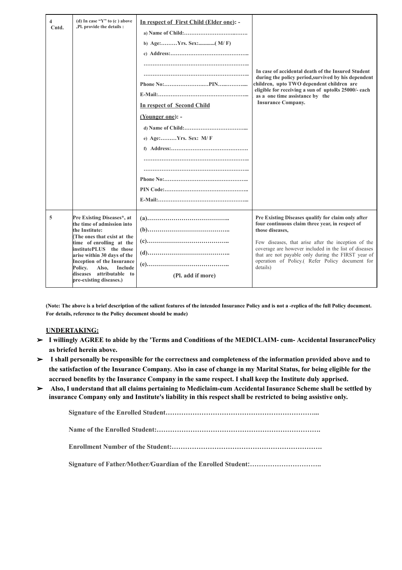| (d) In case " $Y$ " to (c) above<br>4<br>,Pl. provide the details :<br>Cntd. |                                                                                                                                                                                                                                             | In respect of First Child (Elder one): -<br>In respect of Second Child<br>(Younger one): -<br>e) Age:Yrs. Sex: M/F | In case of accidental death of the Insured Student<br>during the policy period, survived by his dependent<br>children, upto TWO dependent children are<br>eligible for receiving a sun of uptoRs 25000/- each<br>as a one time assistance by the<br><b>Insurance Company.</b> |  |
|------------------------------------------------------------------------------|---------------------------------------------------------------------------------------------------------------------------------------------------------------------------------------------------------------------------------------------|--------------------------------------------------------------------------------------------------------------------|-------------------------------------------------------------------------------------------------------------------------------------------------------------------------------------------------------------------------------------------------------------------------------|--|
|                                                                              |                                                                                                                                                                                                                                             |                                                                                                                    |                                                                                                                                                                                                                                                                               |  |
| 5                                                                            | Pre Existing Diseases*, at<br>the time of admission into<br>the Institute:                                                                                                                                                                  |                                                                                                                    | Pre Existing Diseases qualify for claim only after<br>four continuous claim three year, in respect of<br>those diseases.                                                                                                                                                      |  |
|                                                                              | The ones that exist at the<br>time of enrolling at the<br>institutePLUS the those<br>arise within 30 days of the<br><b>Inception of the Insurance</b><br>Policy.<br>Also,<br>Include<br>diseases attributable to<br>pre-existing diseases.) | (Pl. add if more)                                                                                                  | Few diseases, that arise after the inception of the<br>coverage are however included in the list of diseases<br>that are not payable only during the FIRST year of<br>operation of Policy.( Refer Policy document for<br>details)                                             |  |

(Note: The above is a brief description of the salient features of the intended Insurance Policy and is not a -replica of the full Policy document. **For details, reference to the Policy document should be made)**

#### **UNDERTAKING:**

- ➢ **I willingly AGREE to abide by the 'Terms and Conditions of the MEDICLAIM- cum- Accidental InsurancePolicy as briefed herein above.**
- $\triangleright$  I shall personally be responsible for the correctness and completeness of the information provided above and to the satisfaction of the Insurance Company. Also in case of change in my Marital Status, for being eligible for the **accrued benefits by the Insurance Company in the same respect. I shall keep the Institute duly apprised.**
- ➢ **Also, I understand that all claims pertaining to Mediclaim-cum Accidental Insurance Scheme shall be settled by insurance Company only and Institute's liability in this respect shall be restricted to being assistive only.**

**Signature of the Enrolled Student…………………………………………………………...**

**Name of the Enrolled Student:……………………………………………………………….**

**Enrollment Number of the Student:………………………………………………………….**

**Signature of Father***/***Mother***/***Guardian of the Enrolled Student:…………………………..**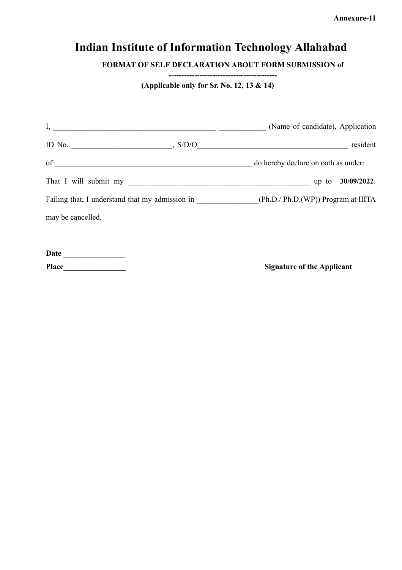**Annexure-11**

# **Indian Institute of Information Technology Allahabad**

**FORMAT OF SELF DECLARATION ABOUT FORM SUBMISSION of**

**(Applicable only for Sr. No. 12, 13 & 14)**

| $\mathbf{I},$                                   | (Name of candidate), Application    |
|-------------------------------------------------|-------------------------------------|
| ID No. $\qquad \qquad , \text{S/D/O}$           | resident                            |
| of                                              | do hereby declare on oath as under: |
| That I will submit my                           | up to 30/09/2022.                   |
| Failing that, I understand that my admission in | (Ph.D./ Ph.D.(WP)) Program at IIITA |
| may be cancelled.                               |                                     |

**Date \_\_\_\_\_\_\_\_\_\_\_\_\_\_\_\_ Place\_\_\_\_\_\_\_\_\_\_\_\_\_\_\_\_ Signature of the Applicant**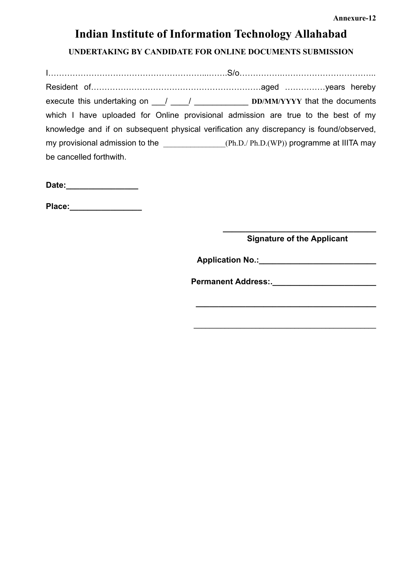# **Indian Institute of Information Technology Allahabad**

**UNDERTAKING BY CANDIDATE FOR ONLINE DOCUMENTS SUBMISSION**

I…………………………………………………...…….S/o…………….…………………………….. Resident of………………………………………………………aged ……………years hereby execute this undertaking on \_\_\_/ \_\_\_\_/ \_\_\_\_\_\_\_\_\_\_\_\_ **DD/MM/YYYY** that the documents which I have uploaded for Online provisional admission are true to the best of my knowledge and if on subsequent physical verification any discrepancy is found/observed, my provisional admission to the  $(Ph.D./ Ph.D.(WP))$  programme at IIITA may be cancelled forthwith.

Date:

**Place:\_\_\_\_\_\_\_\_\_\_\_\_\_\_\_\_**

**\_\_\_\_\_\_\_\_\_\_\_\_\_\_\_\_\_\_\_\_\_\_\_\_\_\_\_\_\_\_\_\_\_\_ Signature of the Applicant**

**Application No.:** 

**\_\_\_\_\_\_\_\_\_\_\_\_\_\_\_\_\_\_\_\_\_\_\_\_\_\_\_\_\_\_\_\_\_\_\_\_\_\_\_\_**

**\_\_\_\_\_\_\_\_\_\_\_\_\_\_\_\_\_\_\_\_\_\_\_\_\_\_\_\_\_\_\_\_\_\_\_\_\_\_\_\_\_\_\_\_\_\_\_**

**Permanent Address:.**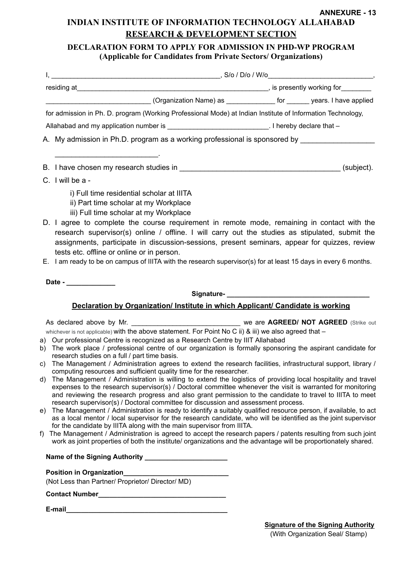#### **ANNEXURE - 13 INDIAN INSTITUTE OF INFORMATION TECHNOLOGY ALLAHABAD RESEARCH & DEVELOPMENT SECTION**

#### **DECLARATION FORM TO APPLY FOR ADMISSION IN PHD-WP PROGRAM (Applicable for Candidates from Private Sectors/ Organizations)**

|                                                                                                     | _______________________(Organization Name) as ______________ for _______ years. I have applied                                                                                                                                                                                                                                                                                                                                                                                                                                                     |  |  |  |
|-----------------------------------------------------------------------------------------------------|----------------------------------------------------------------------------------------------------------------------------------------------------------------------------------------------------------------------------------------------------------------------------------------------------------------------------------------------------------------------------------------------------------------------------------------------------------------------------------------------------------------------------------------------------|--|--|--|
|                                                                                                     | for admission in Ph. D. program (Working Professional Mode) at Indian Institute of Information Technology,                                                                                                                                                                                                                                                                                                                                                                                                                                         |  |  |  |
|                                                                                                     | Allahabad and my application number is _______________________________. I hereby declare that -                                                                                                                                                                                                                                                                                                                                                                                                                                                    |  |  |  |
| A. My admission in Ph.D. program as a working professional is sponsored by ________________________ |                                                                                                                                                                                                                                                                                                                                                                                                                                                                                                                                                    |  |  |  |
|                                                                                                     |                                                                                                                                                                                                                                                                                                                                                                                                                                                                                                                                                    |  |  |  |
|                                                                                                     |                                                                                                                                                                                                                                                                                                                                                                                                                                                                                                                                                    |  |  |  |
| C. I will be a -                                                                                    |                                                                                                                                                                                                                                                                                                                                                                                                                                                                                                                                                    |  |  |  |
|                                                                                                     | ii) Part time scholar at my Workplace<br>iii) Full time scholar at my Workplace<br>D. I agree to complete the course requirement in remote mode, remaining in contact with the<br>research supervisor(s) online / offline. I will carry out the studies as stipulated, submit the<br>assignments, participate in discussion-sessions, present seminars, appear for quizzes, review<br>tests etc. offline or online or in person.<br>E. I am ready to be on campus of IIITA with the research supervisor(s) for at least 15 days in every 6 months. |  |  |  |
| Date - _______________                                                                              |                                                                                                                                                                                                                                                                                                                                                                                                                                                                                                                                                    |  |  |  |
|                                                                                                     |                                                                                                                                                                                                                                                                                                                                                                                                                                                                                                                                                    |  |  |  |
|                                                                                                     | Declaration by Organization/ Institute in which Applicant/ Candidate is working                                                                                                                                                                                                                                                                                                                                                                                                                                                                    |  |  |  |
|                                                                                                     | whichever is not applicable) with the above statement. For Point No C ii) & iii) we also agreed that $-$<br>a) Our professional Centre is recognized as a Research Centre by IIIT Allahabad<br>b) The work place / professional centre of our organization is formally sponsoring the aspirant candidate for                                                                                                                                                                                                                                       |  |  |  |

- b) The work place / professional centre of our organization is formally sponsoring the aspirant candidate for research studies on a full / part time basis.
- c) The Management / Administration agrees to extend the research facilities, infrastructural support, library / computing resources and sufficient quality time for the researcher.
- d) The Management / Administration is willing to extend the logistics of providing local hospitality and travel expenses to the research supervisor(s) / Doctoral committee whenever the visit is warranted for monitoring and reviewing the research progress and also grant permission to the candidate to travel to IIITA to meet research supervisor(s) / Doctoral committee for discussion and assessment process.
- e) The Management / Administration is ready to identify a suitably qualified resource person, if available, to act as a local mentor / local supervisor for the research candidate, who will be identified as the joint supervisor for the candidate by IIITA along with the main supervisor from IIITA.
- f) The Management / Administration is agreed to accept the research papers / patents resulting from such joint work as joint properties of both the institute/ organizations and the advantage will be proportionately shared.

| Name of the Signing Authority |  |
|-------------------------------|--|
|-------------------------------|--|

#### **Position in Organization\_\_\_\_\_\_\_\_\_\_\_\_\_\_\_\_\_\_\_\_\_\_\_\_\_\_\_\_**

(Not Less than Partner/ Proprietor/ Director/ MD)

**Contact Number\_\_\_\_\_\_\_\_\_\_\_\_\_\_\_\_\_\_\_\_\_\_\_\_\_\_\_\_\_\_\_\_\_\_**

**E-mail\_\_\_\_\_\_\_\_\_\_\_\_\_\_\_\_\_\_\_\_\_\_\_\_\_\_\_\_\_\_\_\_\_\_\_\_\_\_\_\_\_\_\_**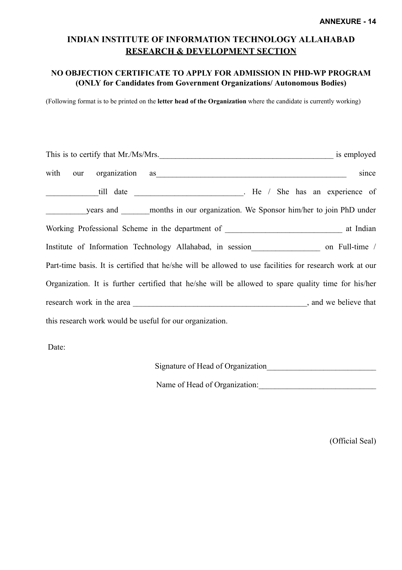#### **INDIAN INSTITUTE OF INFORMATION TECHNOLOGY ALLAHABAD RESEARCH & DEVELOPMENT SECTION**

#### **NO OBJECTION CERTIFICATE TO APPLY FOR ADMISSION IN PHD-WP PROGRAM (ONLY for Candidates from Government Organizations/ Autonomous Bodies)**

(Following format is to be printed on the **letter head of the Organization** where the candidate is currently working)

|                                                          | is employed<br>This is to certify that Mr./Ms/Mrs.                                                                                                                                                                                     |
|----------------------------------------------------------|----------------------------------------------------------------------------------------------------------------------------------------------------------------------------------------------------------------------------------------|
|                                                          | with our organization as with the contract of the contract of the contract of the contract of the contract of the contract of the contract of the contract of the contract of the contract of the contract of the contract of<br>since |
|                                                          |                                                                                                                                                                                                                                        |
|                                                          | years and ______ months in our organization. We Sponsor him/her to join PhD under                                                                                                                                                      |
|                                                          |                                                                                                                                                                                                                                        |
|                                                          |                                                                                                                                                                                                                                        |
|                                                          | Part-time basis. It is certified that he/she will be allowed to use facilities for research work at our                                                                                                                                |
|                                                          | Organization. It is further certified that he/she will be allowed to spare quality time for his/her                                                                                                                                    |
|                                                          |                                                                                                                                                                                                                                        |
| this research work would be useful for our organization. |                                                                                                                                                                                                                                        |

Date:

| Signature of Head of Organization |  |
|-----------------------------------|--|
|                                   |  |

Name of Head of Organization:

(Official Seal)